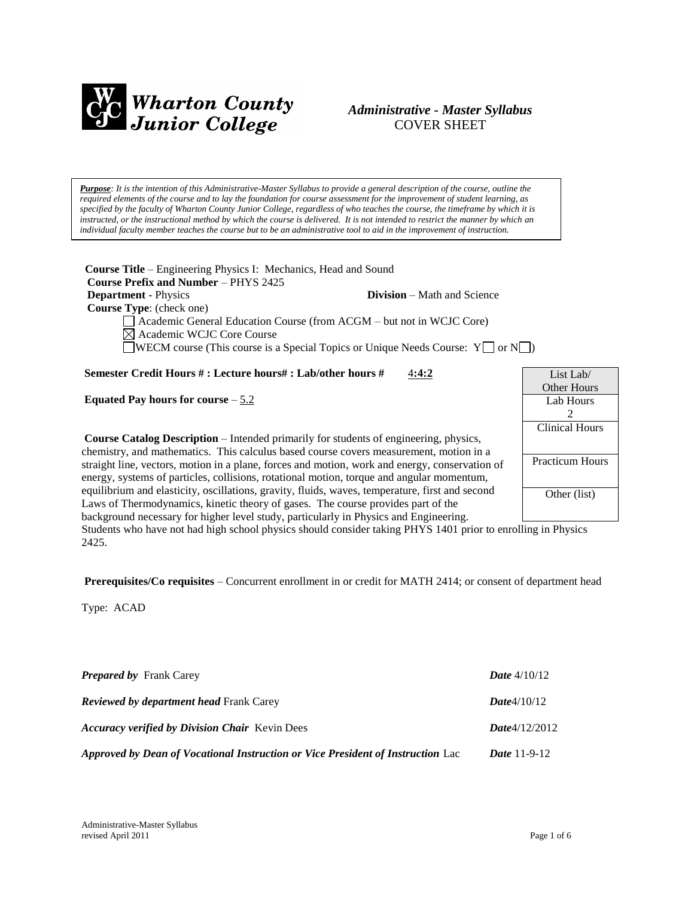

## *Administrative - Master Syllabus*  COVER SHEET

*Purpose: It is the intention of this Administrative-Master Syllabus to provide a general description of the course, outline the required elements of the course and to lay the foundation for course assessment for the improvement of student learning, as specified by the faculty of Wharton County Junior College, regardless of who teaches the course, the timeframe by which it is instructed, or the instructional method by which the course is delivered. It is not intended to restrict the manner by which an individual faculty member teaches the course but to be an administrative tool to aid in the improvement of instruction.*

**Course Title** – Engineering Physics I: Mechanics, Head and Sound  **Course Prefix and Number** – PHYS 2425 **Department** - Physics **Division** – Math and Science  **Course Type**: (check one) Academic General Education Course (from ACGM – but not in WCJC Core) Academic WCJC Core Course

WECM course (This course is a Special Topics or Unique Needs Course:  $Y \cap Y$ 

**Semester Credit Hours # : Lecture hours# : Lab/other hours #** 4**:4:2**

**Equated Pay hours for course** – 5.2

**Course Catalog Description** – Intended primarily for students of engineering, physics, chemistry, and mathematics. This calculus based course covers measurement, motion in a straight line, vectors, motion in a plane, forces and motion, work and energy, conservation of energy, systems of particles, collisions, rotational motion, torque and angular momentum, equilibrium and elasticity, oscillations, gravity, fluids, waves, temperature, first and second Laws of Thermodynamics, kinetic theory of gases. The course provides part of the background necessary for higher level study, particularly in Physics and Engineering.



Students who have not had high school physics should consider taking PHYS 1401 prior to enrolling in Physics 2425.

**Prerequisites/Co requisites** – Concurrent enrollment in or credit for MATH 2414; or consent of department head

Type: ACAD

| <b>Prepared by Frank Carey</b>                                                  | <b>Date</b> $4/10/12$ |
|---------------------------------------------------------------------------------|-----------------------|
| <b>Reviewed by department head Frank Carey</b>                                  | Date4/10/12           |
| <b>Accuracy verified by Division Chair</b> Kevin Dees                           | Date4/12/2012         |
| Approved by Dean of Vocational Instruction or Vice President of Instruction Lac | <i>Date</i> $11-9-12$ |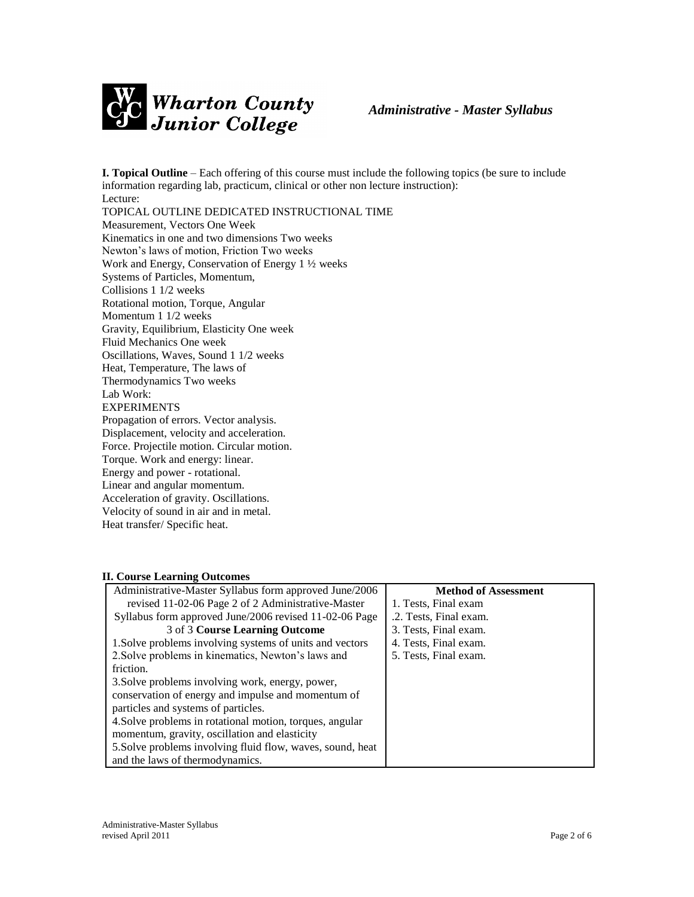

**I. Topical Outline** – Each offering of this course must include the following topics (be sure to include information regarding lab, practicum, clinical or other non lecture instruction): Lecture: TOPICAL OUTLINE DEDICATED INSTRUCTIONAL TIME Measurement, Vectors One Week Kinematics in one and two dimensions Two weeks Newton's laws of motion, Friction Two weeks Work and Energy, Conservation of Energy 1 ½ weeks Systems of Particles, Momentum, Collisions 1 1/2 weeks Rotational motion, Torque, Angular Momentum 1 1/2 weeks Gravity, Equilibrium, Elasticity One week Fluid Mechanics One week Oscillations, Waves, Sound 1 1/2 weeks Heat, Temperature, The laws of Thermodynamics Two weeks Lab Work: EXPERIMENTS Propagation of errors. Vector analysis. Displacement, velocity and acceleration. Force. Projectile motion. Circular motion. Torque. Work and energy: linear. Energy and power - rotational. Linear and angular momentum. Acceleration of gravity. Oscillations.

Velocity of sound in air and in metal. Heat transfer/ Specific heat.

### **II. Course Learning Outcomes**

| Administrative-Master Syllabus form approved June/2006     | <b>Method of Assessment</b> |
|------------------------------------------------------------|-----------------------------|
| revised 11-02-06 Page 2 of 2 Administrative-Master         | 1. Tests, Final exam        |
| Syllabus form approved June/2006 revised 11-02-06 Page     | .2. Tests, Final exam.      |
| 3 of 3 Course Learning Outcome                             | 3. Tests, Final exam.       |
| 1. Solve problems involving systems of units and vectors   | 4. Tests, Final exam.       |
| 2. Solve problems in kinematics, Newton's laws and         | 5. Tests, Final exam.       |
| friction.                                                  |                             |
| 3. Solve problems involving work, energy, power,           |                             |
| conservation of energy and impulse and momentum of         |                             |
| particles and systems of particles.                        |                             |
| 4. Solve problems in rotational motion, torques, angular   |                             |
| momentum, gravity, oscillation and elasticity              |                             |
| 5. Solve problems involving fluid flow, waves, sound, heat |                             |
| and the laws of thermodynamics.                            |                             |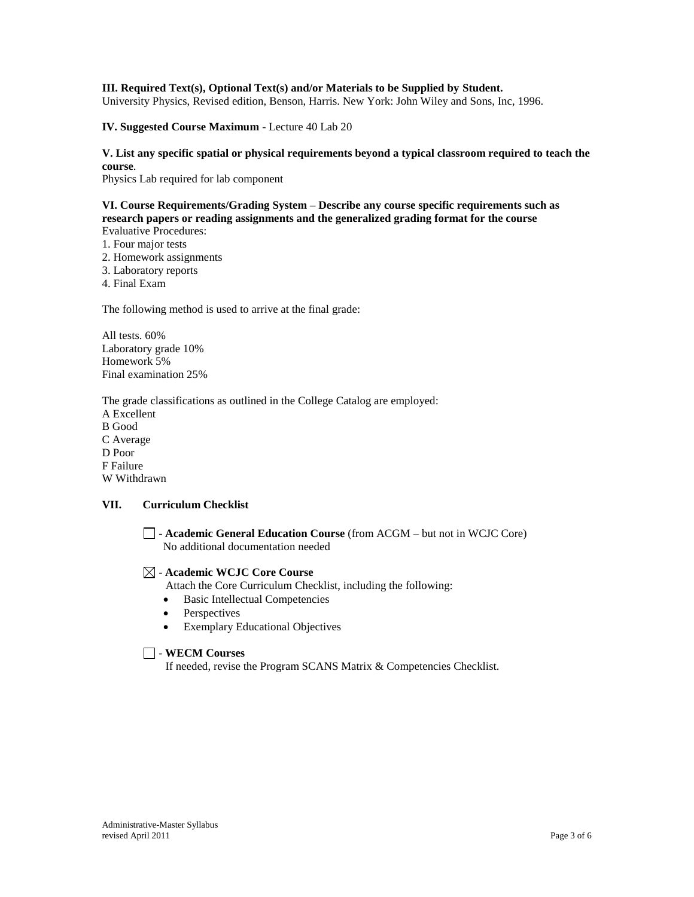#### **III. Required Text(s), Optional Text(s) and/or Materials to be Supplied by Student.**

University Physics, Revised edition, Benson, Harris. New York: John Wiley and Sons, Inc, 1996.

**IV. Suggested Course Maximum** - Lecture 40 Lab 20

## **V. List any specific spatial or physical requirements beyond a typical classroom required to teach the course**.

Physics Lab required for lab component

#### **VI. Course Requirements/Grading System – Describe any course specific requirements such as research papers or reading assignments and the generalized grading format for the course**  Evaluative Procedures:

- 1. Four major tests
- 2. Homework assignments
- 3. Laboratory reports
- 4. Final Exam

The following method is used to arrive at the final grade:

All tests. 60% Laboratory grade 10% Homework 5% Final examination 25%

The grade classifications as outlined in the College Catalog are employed: A Excellent B Good C Average D Poor F Failure W Withdrawn

### **VII. Curriculum Checklist**

- **Academic General Education Course** (from ACGM – but not in WCJC Core) No additional documentation needed

#### - **Academic WCJC Core Course**

Attach the Core Curriculum Checklist, including the following:

- Basic Intellectual Competencies
- Perspectives
- Exemplary Educational Objectives

### - **WECM Courses**

If needed, revise the Program SCANS Matrix & Competencies Checklist.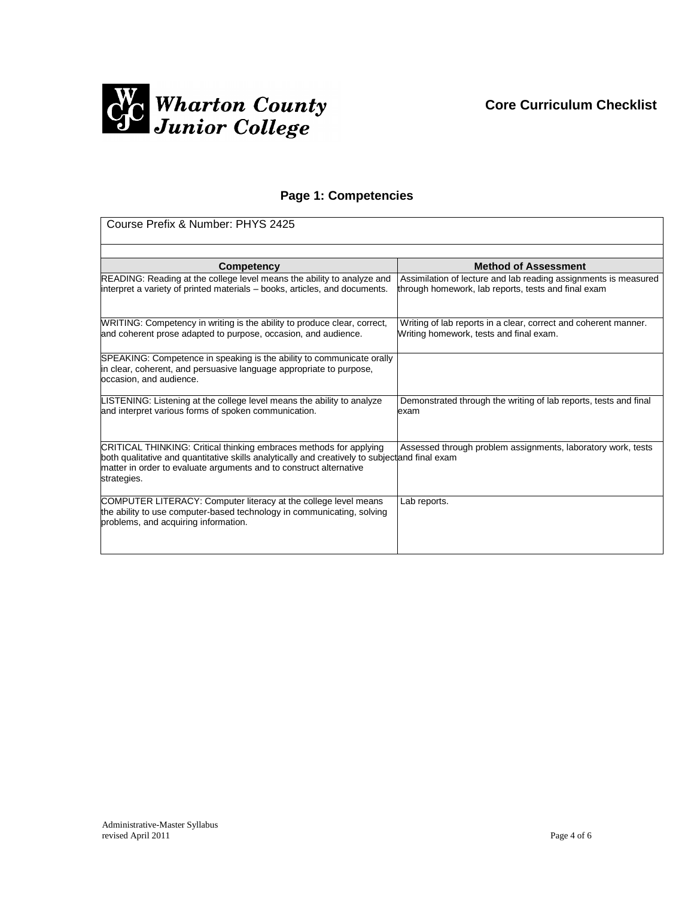

# **Page 1: Competencies**

| Course Prefix & Number: PHYS 2425                                                                                                                                                                                                                        |                                                                                                                        |  |
|----------------------------------------------------------------------------------------------------------------------------------------------------------------------------------------------------------------------------------------------------------|------------------------------------------------------------------------------------------------------------------------|--|
| Competency                                                                                                                                                                                                                                               | <b>Method of Assessment</b>                                                                                            |  |
| READING: Reading at the college level means the ability to analyze and<br>interpret a variety of printed materials – books, articles, and documents.                                                                                                     | Assimilation of lecture and lab reading assignments is measured<br>through homework, lab reports, tests and final exam |  |
| WRITING: Competency in writing is the ability to produce clear, correct,<br>and coherent prose adapted to purpose, occasion, and audience.                                                                                                               | Writing of lab reports in a clear, correct and coherent manner.<br>Writing homework, tests and final exam.             |  |
| SPEAKING: Competence in speaking is the ability to communicate orally<br>in clear, coherent, and persuasive language appropriate to purpose,<br>occasion, and audience.                                                                                  |                                                                                                                        |  |
| LISTENING: Listening at the college level means the ability to analyze<br>and interpret various forms of spoken communication.                                                                                                                           | Demonstrated through the writing of lab reports, tests and final<br>exam                                               |  |
| CRITICAL THINKING: Critical thinking embraces methods for applying<br>both qualitative and quantitative skills analytically and creatively to subjectand final exam<br>matter in order to evaluate arguments and to construct alternative<br>strategies. | Assessed through problem assignments, laboratory work, tests                                                           |  |
| COMPUTER LITERACY: Computer literacy at the college level means<br>the ability to use computer-based technology in communicating, solving<br>problems, and acquiring information.                                                                        | Lab reports.                                                                                                           |  |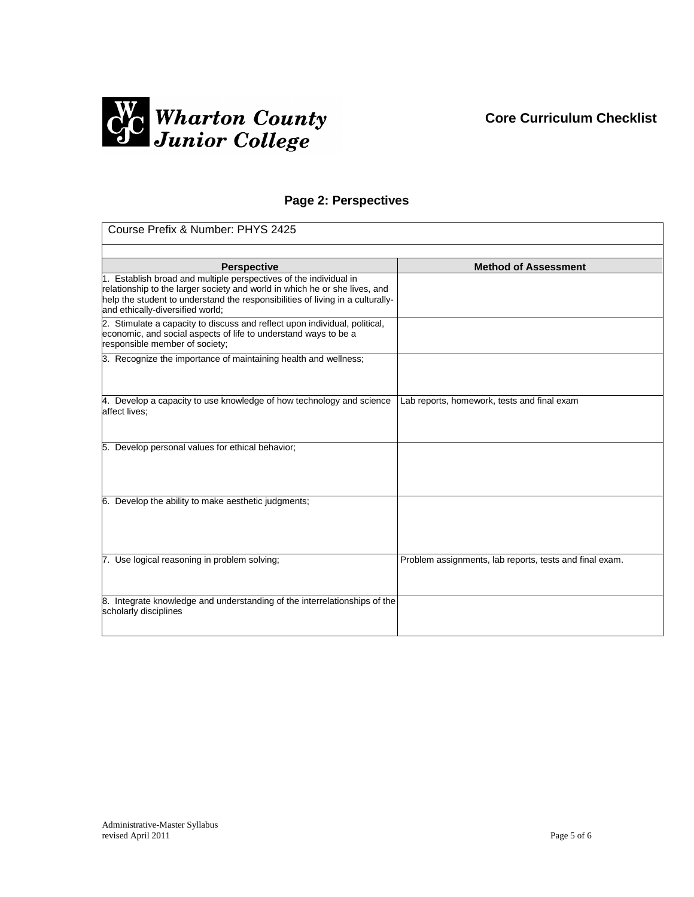# **Core Curriculum Checklist**



# **Page 2: Perspectives**

| Course Prefix & Number: PHYS 2425                                                                                                               |                                                         |  |
|-------------------------------------------------------------------------------------------------------------------------------------------------|---------------------------------------------------------|--|
|                                                                                                                                                 |                                                         |  |
| <b>Perspective</b>                                                                                                                              | <b>Method of Assessment</b>                             |  |
| 1. Establish broad and multiple perspectives of the individual in<br>relationship to the larger society and world in which he or she lives, and |                                                         |  |
| help the student to understand the responsibilities of living in a culturally-                                                                  |                                                         |  |
| and ethically-diversified world;                                                                                                                |                                                         |  |
| 2. Stimulate a capacity to discuss and reflect upon individual, political,                                                                      |                                                         |  |
| economic, and social aspects of life to understand ways to be a                                                                                 |                                                         |  |
| responsible member of society;                                                                                                                  |                                                         |  |
| 3. Recognize the importance of maintaining health and wellness;                                                                                 |                                                         |  |
|                                                                                                                                                 |                                                         |  |
|                                                                                                                                                 |                                                         |  |
| 4. Develop a capacity to use knowledge of how technology and science                                                                            | Lab reports, homework, tests and final exam             |  |
| affect lives:                                                                                                                                   |                                                         |  |
|                                                                                                                                                 |                                                         |  |
|                                                                                                                                                 |                                                         |  |
| 5. Develop personal values for ethical behavior;                                                                                                |                                                         |  |
|                                                                                                                                                 |                                                         |  |
|                                                                                                                                                 |                                                         |  |
|                                                                                                                                                 |                                                         |  |
| 6. Develop the ability to make aesthetic judgments;                                                                                             |                                                         |  |
|                                                                                                                                                 |                                                         |  |
|                                                                                                                                                 |                                                         |  |
|                                                                                                                                                 |                                                         |  |
| 7. Use logical reasoning in problem solving;                                                                                                    | Problem assignments, lab reports, tests and final exam. |  |
|                                                                                                                                                 |                                                         |  |
|                                                                                                                                                 |                                                         |  |
| 8. Integrate knowledge and understanding of the interrelationships of the                                                                       |                                                         |  |
| scholarly disciplines                                                                                                                           |                                                         |  |
|                                                                                                                                                 |                                                         |  |
|                                                                                                                                                 |                                                         |  |